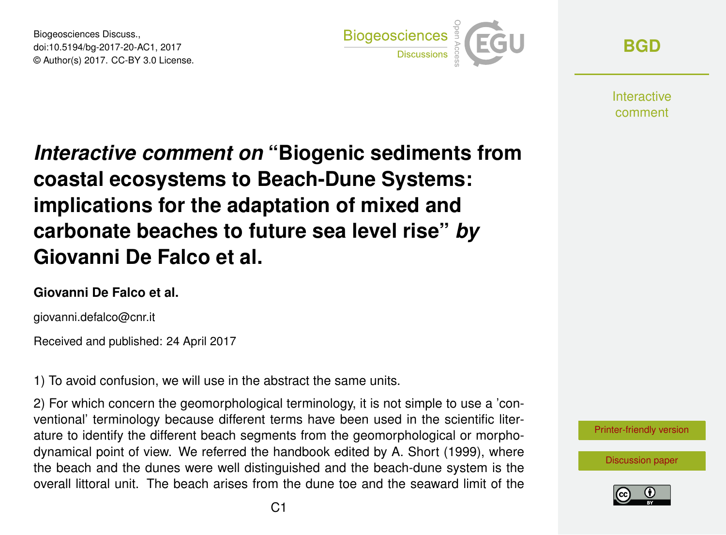Biogeosciences Discuss., doi:10.5194/bg-2017-20-AC1, 2017 © Author(s) 2017. CC-BY 3.0 License.



**[BGD](http://www.biogeosciences-discuss.net/)**

**Interactive** comment

*Interactive comment on* **"Biogenic sediments from coastal ecosystems to Beach-Dune Systems: implications for the adaptation of mixed and carbonate beaches to future sea level rise"** *by* **Giovanni De Falco et al.**

## **Giovanni De Falco et al.**

giovanni.defalco@cnr.it

Received and published: 24 April 2017

1) To avoid confusion, we will use in the abstract the same units.

2) For which concern the geomorphological terminology, it is not simple to use a 'conventional' terminology because different terms have been used in the scientific literature to identify the different beach segments from the geomorphological or morphodynamical point of view. We referred the handbook edited by A. Short (1999), where the beach and the dunes were well distinguished and the beach-dune system is the overall littoral unit. The beach arises from the dune toe and the seaward limit of the



[Discussion paper](http://www.biogeosciences-discuss.net/bg-2017-20)